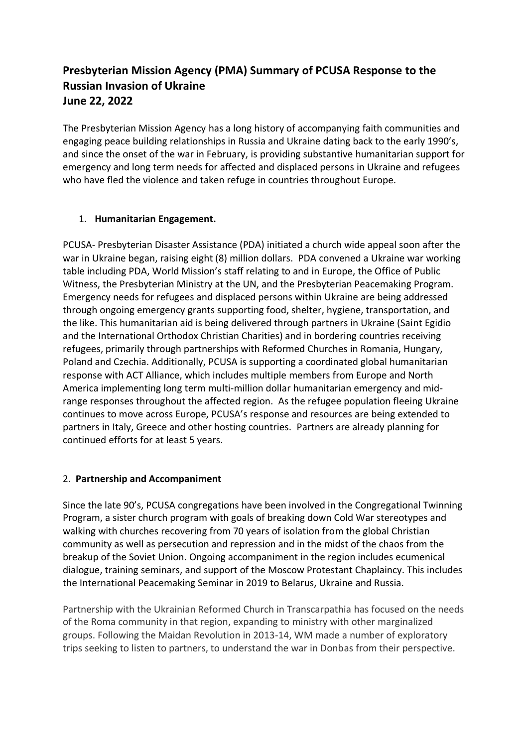# **Presbyterian Mission Agency (PMA) Summary of PCUSA Response to the Russian Invasion of Ukraine June 22, 2022**

The Presbyterian Mission Agency has a long history of accompanying faith communities and engaging peace building relationships in Russia and Ukraine dating back to the early 1990's, and since the onset of the war in February, is providing substantive humanitarian support for emergency and long term needs for affected and displaced persons in Ukraine and refugees who have fled the violence and taken refuge in countries throughout Europe.

## 1. **Humanitarian Engagement.**

PCUSA- Presbyterian Disaster Assistance (PDA) initiated a church wide appeal soon after the war in Ukraine began, raising eight (8) million dollars. PDA convened a Ukraine war working table including PDA, World Mission's staff relating to and in Europe, the Office of Public Witness, the Presbyterian Ministry at the UN, and the Presbyterian Peacemaking Program. Emergency needs for refugees and displaced persons within Ukraine are being addressed through ongoing emergency grants supporting food, shelter, hygiene, transportation, and the like. This humanitarian aid is being delivered through partners in Ukraine (Saint Egidio and the International Orthodox Christian Charities) and in bordering countries receiving refugees, primarily through partnerships with Reformed Churches in Romania, Hungary, Poland and Czechia. Additionally, PCUSA is supporting a coordinated global humanitarian response with ACT Alliance, which includes multiple members from Europe and North America implementing long term multi-million dollar humanitarian emergency and midrange responses throughout the affected region. As the refugee population fleeing Ukraine continues to move across Europe, PCUSA's response and resources are being extended to partners in Italy, Greece and other hosting countries. Partners are already planning for continued efforts for at least 5 years.

#### 2. **Partnership and Accompaniment**

Since the late 90's, PCUSA congregations have been involved in the Congregational Twinning Program, a sister church program with goals of breaking down Cold War stereotypes and walking with churches recovering from 70 years of isolation from the global Christian community as well as persecution and repression and in the midst of the chaos from the breakup of the Soviet Union. Ongoing accompaniment in the region includes ecumenical dialogue, training seminars, and support of the Moscow Protestant Chaplaincy. This includes the International Peacemaking Seminar in 2019 to Belarus, Ukraine and Russia.

Partnership with the Ukrainian Reformed Church in Transcarpathia has focused on the needs of the Roma community in that region, expanding to ministry with other marginalized groups. Following the Maidan Revolution in 2013-14, WM made a number of exploratory trips seeking to listen to partners, to understand the war in Donbas from their perspective.